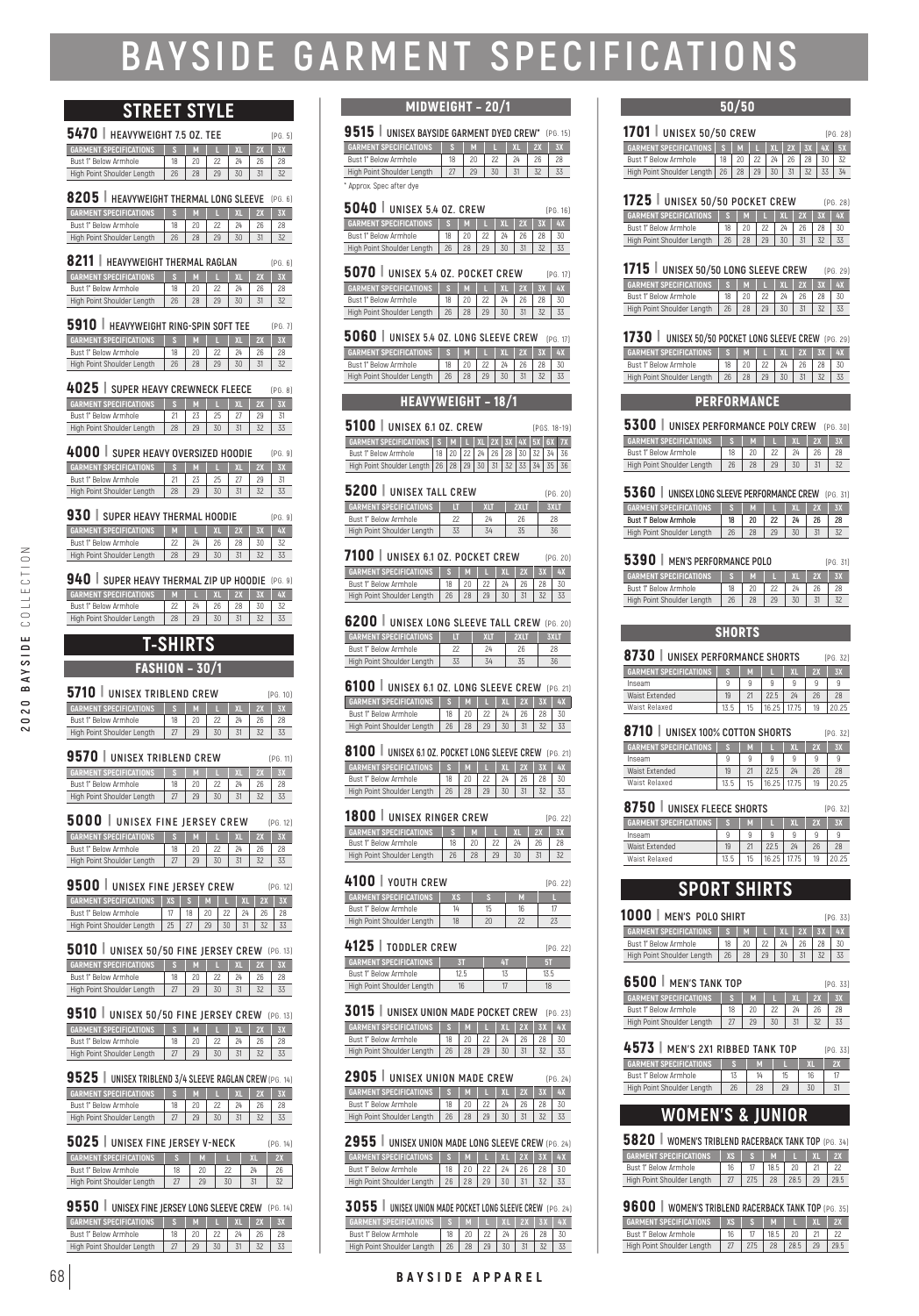# **BAYSIDE GARMENT SPECIFICATIONS**

## **STREET STYLE**

| <b>5470</b> HEAVYWEIGHT 7.5 OZ. TEE            |    |    |    |            |    |           |  |  |
|------------------------------------------------|----|----|----|------------|----|-----------|--|--|
| <b>GARMENT SPECIFICATIONS</b>                  | s  | м  |    | $X \Gamma$ | 2X | <b>3X</b> |  |  |
| Bust 1" Below Armhole                          | 18 | 20 | 22 | 24         | 26 | 28        |  |  |
| High Point Shoulder Length                     | 26 | 28 | 29 | 30         | 31 | 32        |  |  |
| 8205   HEAVYWEIGHT THERMAL LONG SLEEVE (PG. 6) |    |    |    |            |    |           |  |  |

| <b>GARMENT SPECIFICATIONS</b> |    |    |    |  |
|-------------------------------|----|----|----|--|
| Bust 1" Below Armhole         |    |    |    |  |
| High Point Shoulder Length    | 26 | 28 | 30 |  |
|                               |    |    |    |  |

| 8211<br>HEAVYWEIGHT THERMAL RAGLAN<br>[PG, 6] |    |    |    |            |    |    |  |  |
|-----------------------------------------------|----|----|----|------------|----|----|--|--|
| <b>GARMENT SPECIFICATIONS</b>                 |    | M  |    | $X \Gamma$ | 2X |    |  |  |
| Bust 1" Below Armhole                         | 18 |    | 22 | 24         |    | 28 |  |  |
| High Point Shoulder Length                    | 26 | 28 | 29 |            |    |    |  |  |
|                                               |    |    |    |            |    |    |  |  |

| 5910   HEAVYWEIGHT RING-SPIN SOFT TEE<br>(PG, 7) |    |    |    |    |    |    |  |  |  |
|--------------------------------------------------|----|----|----|----|----|----|--|--|--|
| <b>GARMENT SPECIFICATIONS</b>                    |    | M  |    | X  | 2X |    |  |  |  |
| Bust 1" Below Armhole                            | 18 | 20 | 22 |    | 26 | 28 |  |  |  |
| High Point Shoulder Length                       | 26 | 28 | 29 | 30 |    |    |  |  |  |

| 4025   SUPER HEAVY CREWNECK FLEECE<br>[PG. 8] |    |   |    |           |     |  |  |  |
|-----------------------------------------------|----|---|----|-----------|-----|--|--|--|
| <b>GARMENT SPECIFICATIONS</b>                 |    | M |    | <b>YI</b> | VY. |  |  |  |
| Bust 1" Below Armhole                         |    |   | 25 |           |     |  |  |  |
| High Point Shoulder Length                    | 28 |   | 30 |           |     |  |  |  |

| 4000 SUPER HEAVY OVERSIZED HOODIE<br>[PG. 9] |    |    |    |   |    |  |  |  |
|----------------------------------------------|----|----|----|---|----|--|--|--|
| <b>GARMENT SPECIFICATIONS</b>                |    | M  |    | X | 2X |  |  |  |
| Bust 1" Below Armhole                        | 21 | 23 | 25 |   | 29 |  |  |  |
| High Point Shoulder Length                   | 28 | 29 | 30 |   |    |  |  |  |
|                                              |    |    |    |   |    |  |  |  |

| $930$ SUPER HEAVY THERMAL HOODIE<br>[PG. 9] |          |    |    |               |           |    |  |  |  |
|---------------------------------------------|----------|----|----|---------------|-----------|----|--|--|--|
| <b>GARMENT SPECIFICATIONS</b>               | <b>M</b> |    | X1 | $\frac{1}{2}$ | <b>3X</b> |    |  |  |  |
| Bust 1" Below Armhole                       | 22       | 24 | 26 |               | 30        | 32 |  |  |  |
| High Point Shoulder Length                  | 28       | 29 | 30 |               |           |    |  |  |  |

| <b>940</b> SUPER HEAVY THERMAL ZIP UP HOODIE (PG. 9) |      |    |              |             |     |
|------------------------------------------------------|------|----|--------------|-------------|-----|
| <b>GARMENT SPECIFICATIONS</b>                        | TV . |    | $\mathbf{v}$ | $2X$ $3X$ . | 457 |
| Bust 1" Below Armhole                                |      | 24 |              |             | 32  |
| High Point Shoulder Length                           | 28   | 29 | 30           |             |     |

## **T-SHIRTS**

#### FASHION – 30/1

**2020 BAYSIDE** COLLECTION

2020 BAYSIDE

COLLECTION

| <b>5710 UNISEX TRIBLEND CREW</b><br>[PG. 10] |    |    |    |                |    |    |  |  |
|----------------------------------------------|----|----|----|----------------|----|----|--|--|
| <b>GARMENT SPECIFICATIONS</b>                |    | M  |    | X <sub>1</sub> | 2X |    |  |  |
| Bust 1" Below Armhole                        | 18 | 20 | 22 | 24             | 26 | 28 |  |  |
| High Point Shoulder Length                   | 27 | 29 | 30 |                | 32 |    |  |  |

| 9570   UNISEX TRIBLEND CREW<br>[PG. 11] |    |    |    |       |    |             |  |
|-----------------------------------------|----|----|----|-------|----|-------------|--|
| <b>GARMENT SPECIFICATIONS</b>           |    | M  |    | $Y =$ | 2Y | <b>ASS:</b> |  |
| Bust 1" Below Armhole                   | 18 |    |    |       |    |             |  |
| High Point Shoulder Length              | 27 | 29 | 30 |       |    |             |  |

| 5000 UNISEX FINE JERSEY CREW<br>[PG. 12] |  |   |    |           |    |  |  |  |
|------------------------------------------|--|---|----|-----------|----|--|--|--|
| <b>GARMENT SPECIFICATIONS</b>            |  | M |    | <b>YI</b> | 2X |  |  |  |
| Bust 1" Below Armhole                    |  |   | 22 |           |    |  |  |  |
| High Point Shoulder Length               |  |   |    |           |    |  |  |  |

| 9500 UNISEX FINE JERSEY CREW<br>[PG. 12] |    |    |  |          |    |       |  |  |
|------------------------------------------|----|----|--|----------|----|-------|--|--|
|                                          |    |    |  |          | 2X |       |  |  |
|                                          | 18 |    |  |          |    | 28    |  |  |
|                                          |    | 29 |  |          |    | 33    |  |  |
|                                          |    |    |  | IXS SIMI |    | $x -$ |  |  |

| 5010   UNISEX 50/50 FINE JERSEY CREW (PG. 13) |    |   |    |           |    |  |  |  |
|-----------------------------------------------|----|---|----|-----------|----|--|--|--|
| <b>GARMENT SPECIFICATIONS</b>                 |    | M |    | <b>YI</b> | 2X |  |  |  |
| Bust 1" Below Armhole                         | 18 |   | 22 |           |    |  |  |  |
| High Point Shoulder Length                    |    |   | 30 |           |    |  |  |  |

#### 9510 | **UNISEX 50/50 FINE JERSEY CREW** (PG. 13)

| <b>GARMENT SPECIFICATIONS</b> |  |  |  |
|-------------------------------|--|--|--|
| Bust 1" Below Armhole         |  |  |  |
| High Point Shoulder Length    |  |  |  |

| 9525   UNISEX TRIBLEND 3/4 SLEEVE RAGLAN CREW (PG. 14) |    |    |    |          |    |           |  |
|--------------------------------------------------------|----|----|----|----------|----|-----------|--|
| <b>GARMENT SPECIFICATIONS</b>                          |    | M  | ш  | $X \cup$ | 2X | <b>3X</b> |  |
| Bust 1" Below Armhole                                  | 18 | 20 | 22 |          | 26 | 28        |  |
| High Point Shoulder Length                             | 27 | 29 | 30 |          |    |           |  |

| 5025   UNISEX FINE JERSEY V-NECK |    |    |    |    |           |  |  |  |
|----------------------------------|----|----|----|----|-----------|--|--|--|
| <b>GARMENT SPECIFICATIONS</b>    |    | M  |    | YП | <b>27</b> |  |  |  |
| Bust 1" Below Armhole            | 18 | 20 | 22 | 24 | 26        |  |  |  |
| High Point Shoulder Length       | 27 | 29 | 30 |    | 32        |  |  |  |

| 9550   UNISEX FINE JERSEY LONG SLEEVE CREW (PG. 14) |    |    |    |            |    |    |
|-----------------------------------------------------|----|----|----|------------|----|----|
| <b>GARMENT SPECIFICATIONS</b>                       |    | M  |    | $X \Gamma$ | 2X |    |
| Bust 1" Below Armhole                               | 18 | 20 | 22 | 24         |    | 28 |
| High Point Shoulder Length                          | 27 | 29 | 30 |            |    |    |

#### MIDWEIGHT – 20/1

**GARMENT SPECIFICATIONS S M L XL 2X 3X** Bust 1" Below Armhole | 18 | 20 | 22 | 24 | 26 | 28 High Point Shoulder Length | 27 | 29 | 30 | 31 | 32 | 33 9515 | **UNISEX BAYSIDE GARMENT DYED CREW\*** (PG. 15) Approx. Spec after dye

#### 5040 | **UNISEX 5.4 OZ. CREW** (PG. 16)

| <b>GARMENT SPECIFICATIONS</b>        | M |              |    | XI   2X   3X | 4X |
|--------------------------------------|---|--------------|----|--------------|----|
| Bust 1" Below Armhole                |   |              | 24 |              |    |
| High Point Shoulder Length   26   28 |   | $29 \mid 30$ |    |              |    |
|                                      |   |              |    |              |    |

| $5070$ I UNISEX 5.4 0Z. POCKET CREW |        |    |             |                 |    |                            | [PG. 17] |
|-------------------------------------|--------|----|-------------|-----------------|----|----------------------------|----------|
| <b>GARMENT SPECIFICATIONS</b>       | $\sim$ |    | <b>M</b> II |                 |    | <b>' xL   2X   3X   4X</b> |          |
| Bust 1" Below Armhole               |        |    | 22          | $24^{\circ}$    | 26 |                            |          |
| High Point Shoulder Length          | 26     | 28 | 29          | $\frac{30}{30}$ |    |                            |          |
|                                     |        |    |             |                 |    |                            |          |

| 5060   UNISEX 5.4 0Z. LONG SLEEVE CREW (PG. 17)                                                                              |                    |    |  |                      |  |
|------------------------------------------------------------------------------------------------------------------------------|--------------------|----|--|----------------------|--|
| GARMENT SPECIFICATIONS $\parallel$ S $\parallel$ M $\parallel$ L $\parallel$ XL $\parallel$ 2X $\parallel$ 3X $\parallel$ 4X |                    |    |  |                      |  |
| Bust 1" Below Armhole                                                                                                        |                    |    |  | 24   26   28   30    |  |
| High Point Shoulder Length                                                                                                   | $\vert$ 26 $\vert$ | 28 |  | $29 \mid 30 \mid 31$ |  |

#### **HEAVYWEIGHT - 18/1**

5100 | **UNISEX 6.1 OZ. CREW GARMENT SPECIFICATIONS S M L XL 2X 3X 4X 5X 6X 7X** Bust 1" Below Armhole | 18 | 20 | 22 | 24 | 26 | 28 | 30 | 32 | 34 | 36 High Point Shoulder Length 26 28 29 30 31 32 33 34 35 36 (PGS. 18-19)

| 5200 UNISEX TALL CREW         |    |            |      |             |  |  |  |
|-------------------------------|----|------------|------|-------------|--|--|--|
| <b>GARMENT SPECIFICATIONS</b> | ш  | <b>YIT</b> | 2XIT | <b>3XIT</b> |  |  |  |
| Bust 1" Below Armhole         | 22 | 24         | 26   | 28          |  |  |  |
| High Point Shoulder Length    | 33 | 34         | 35   | 36          |  |  |  |

**GARMENT SPECIFICATIONS S M L XL 2X 3X 4X** Bust 1" Below Armhole | 18 | 20 | 22 | 24 | 26 | 28 | 30 High Point Shoulder Length 26 28 29 30 31 32 33 7100 | **UNISEX 6.1 OZ. POCKET CREW** (PG. 20)

| 6200   UNISEX LONG SLEEVE TALL CREW (PG. 20) |    |            |      |             |
|----------------------------------------------|----|------------|------|-------------|
| <b>GARMENT SPECIFICATIONS</b>                | Ш  | <b>YIT</b> | 2XIT | <b>3XIT</b> |
| Bust 1" Below Armhole                        | 22 | 24         | 26   | 28          |
| High Point Shoulder Length                   | 33 | 34         | 35   | 36          |

**GARMENT SPECIFICATIONS S M L XL 2X 3X 4X** 18 20 22 24 26 28 30 High Point Shoulder Length 26 28 29 30 31 32 33 6100 | **UNISEX 6.1 OZ. LONG SLEEVE CREW** (PG. 21)

**GARMENT SPECIFICATIONS S M L XL 2X 3X 4X** Bust 1" Below Armhole 18 20 22 24 26 28 30 High Point Shoulder Length 26 28 29 30 31 32 33 8100 | **UNISEX 6.1 OZ. POCKET LONG SLEEVE CREW** (PG. 21)

#### 1800 | **UNISEX RINGER CREW** (PG. 22)

| <b>GARMENT SPECIFICATIONS</b> |    |  |  |    |
|-------------------------------|----|--|--|----|
| Bust 1" Below Armhole         | 18 |  |  | 28 |
| High Point Shoulder Length    |    |  |  |    |

#### 4100 | **YOUTH CREW**

| <b>GARMENT SPECIFICATIONS</b> |    |  |  |
|-------------------------------|----|--|--|
| Bust 1" Below Armhole         | 14 |  |  |
| High Point Shoulder Length    | 18 |  |  |

| 4125   TODDLER CREW<br>[PG. 22] |      |  |      |  |  |  |  |  |
|---------------------------------|------|--|------|--|--|--|--|--|
| <b>GARMENT SPECIFICATIONS</b>   |      |  |      |  |  |  |  |  |
| Bust 1" Below Armhole           | 12.5 |  | 13.5 |  |  |  |  |  |
| High Point Shoulder Length      | 16   |  | 18   |  |  |  |  |  |

**GARMENT SPECIFICATIONS S M L XL 2X 3X 4X** Bust 1" Below Armhole | 18 | 20 | 22 | 24 | 26 | 28 | 30 High Point Shoulder Length 26 28 29 30 31 32 33 3015 | **UNISEX UNION MADE POCKET CREW** (PG. 23)

#### 2905 | **UNISEX UNION MADE CREW** (PG. 24)

| <b>GARMENT SPECIFICATIONS</b> |    | M I |    |    | $XL$ 2X 3X |    | 4X |
|-------------------------------|----|-----|----|----|------------|----|----|
| Bust 1" Below Armhole         |    |     |    | 24 | 26         | 28 | 30 |
| High Point Shoulder Length    | 26 |     | 29 | 30 | 31         |    |    |

**GARMENT SPECIFICATIONS S M L XL 2X 3X 4X** Bust 1" Below Armhole 18 20 22 24 26 28 30 High Point Shoulder Length 26 28 29 30 31 32 33 2955 | **UNISEX UNION MADE LONG SLEEVE CREW** (PG. 24)

**GARMENT SPECIFICATIONS S M L XL 2X 3X 4X** Bust 1" Below Armhole | 18 | 20 | 22 | 24 | 26 | 28 | 30 High Point Shoulder Length | 26 | 28 | 29 | 30 | 31 | 32 | 33 3055 | **UNISEX UNION MADE POCKET LONG SLEEVE CREW** (PG. 24)

(PG. 22)

#### 50/50

| <b>1701</b>   UNISEX 50/50 CREW                                                            |  |  |  |  |  |                                       |  | [PG. 28] |
|--------------------------------------------------------------------------------------------|--|--|--|--|--|---------------------------------------|--|----------|
| GARMENT SPECIFICATIONS $\mid S \mid M \mid L \mid XL \mid 2X \mid 3X \mid 4X \mid 5X \mid$ |  |  |  |  |  |                                       |  |          |
| Bust 1" Below Armhole                                                                      |  |  |  |  |  | 18   20   22   24   26   28   30   32 |  |          |
| High Point Shoulder Length   26   28   29   30   31   32   33                              |  |  |  |  |  |                                       |  |          |

**GARMENT SPECIFICATIONS S M L XL 2X 3X 4X** Bust 1" Below Armhole High Point Shoulder Length 26 28 29 30 31 32 33 1725 | **UNISEX 50/50 POCKET CREW** (PG. 28)

 $\begin{bmatrix} \text{GARMENT SPECIFICATIONS} \\ \text{S} \end{bmatrix}$  **M**  $\begin{bmatrix} \text{L} \end{bmatrix}$  **XL**  $\begin{bmatrix} 2X & 3X & 4X \end{bmatrix}$ Bust 1" Below Armhole | 18 | 20 | 22 | 24 | 26 | 28 | 30 High Point Shoulder Length | 26 | 28 | 29 | 30 | 31 | 32 | 33 1715 | **UNISEX 50/50 LONG SLEEVE CREW** (PG. 29)

| 1730   UNISEX 50/50 POCKET LONG SLEEVE CREW (PG. 29) |       |                 |    |                |    |                      |    |  |
|------------------------------------------------------|-------|-----------------|----|----------------|----|----------------------|----|--|
| <b>GARMENT SPECIFICATIONS</b>                        | l s i |                 |    |                |    | M   L   XL   2X   3X | 4X |  |
| Bust 1" Below Armhole                                |       | 20 <sup>°</sup> | 22 | $\frac{24}{5}$ | 26 |                      | 30 |  |
| High Point Shoulder Length                           | 126   |                 |    | 28 29 30 31    |    |                      |    |  |

#### **PERFORMANCE**

| 5300   UNISEX PERFORMANCE POLY CREW (PG. 30) |    |    |    |    |    |  |  |  |  |
|----------------------------------------------|----|----|----|----|----|--|--|--|--|
| <b>GARMENT SPECIFICATIONS</b>                |    | M  |    | X  | 2Y |  |  |  |  |
| Bust 1" Below Armhole                        | 18 | 20 | 22 | 24 |    |  |  |  |  |
| High Point Shoulder Length                   | 26 | 28 | 29 | 30 |    |  |  |  |  |
|                                              |    |    |    |    |    |  |  |  |  |

| 5360<br><b>UNISEX LONG SLEEVE PERFORMANCE CREW</b> (PG. 31) |    |    |    |    |    |    |  |  |  |
|-------------------------------------------------------------|----|----|----|----|----|----|--|--|--|
| <b>GARMENT SPECIFICATIONS</b><br><b>YI</b><br>2Y            |    |    |    |    |    |    |  |  |  |
| Bust 1" Below Armhole                                       | 18 | 20 | 22 | 24 | 26 | 28 |  |  |  |
| High Point Shoulder Length                                  | 26 |    | 29 |    |    |    |  |  |  |

| 5390<br><b>MEN'S PERFORMANCE POLO</b> |    |  |    |           |    |  |  |  |
|---------------------------------------|----|--|----|-----------|----|--|--|--|
| <b>GARMENT SPECIFICATIONS</b>         |    |  |    | <b>YT</b> | 2Y |  |  |  |
| Bust 1" Below Armhole                 |    |  |    |           |    |  |  |  |
| High Point Shoulder Length            | 26 |  | 29 |           |    |  |  |  |

#### **SHORTS**

| 8730<br>UNISEX PERFORMANCE SHORTS |      | [PG. 32] |       |    |    |      |
|-----------------------------------|------|----------|-------|----|----|------|
| <b>GARMENT SPECIFICATIONS</b>     |      | M        |       | XΙ | 2X | 3X   |
| Inseam                            | 9    | 9        | 9     | 9  | 9  | 9    |
| Waist Extended                    | 19   |          | 225   | 24 | 26 | 28   |
| Waist Relaxed                     | 13.5 | 15       | 16.25 |    | 19 | 2025 |

| 8710<br><b>UNISEX 100% COTTON SHORTS</b> |      | [PG. 32] |       |       |    |      |
|------------------------------------------|------|----------|-------|-------|----|------|
| <b>GARMENT SPECIFICATIONS</b>            |      | M        |       | ΧI    | 2X |      |
| Inseam                                   | g    | g        | 9     | 9     | 9  |      |
| Waist Extended                           | 19   | 21       | 225   | 24    | 26 | 28   |
| Waist Relaxed                            | 13.5 | 15       | 16.25 | 17.75 | 19 | 2025 |

| 8750 UNISEX FLEECE SHORTS     |      | [PG. 32] |       |      |    |    |
|-------------------------------|------|----------|-------|------|----|----|
| <b>GARMENT SPECIFICATIONS</b> |      | M        |       | ΧL   | 2X |    |
| Inseam                        | 9    | g        | 9     | 9    | 9  |    |
| Waist Extended                | 19   | 21       | 225   | 24   | 26 | 28 |
| Waist Relaxed                 | 13.5 | 15       | 16.25 | 1775 | 19 |    |
|                               |      |          |       |      |    |    |

#### **SPORT SHIRTS**

| 1000   MEN'S POLO SHIRT<br>(PG. 33) |    |          |    |    |    |    |    |  |  |
|-------------------------------------|----|----------|----|----|----|----|----|--|--|
| <b>GARMENT SPECIFICATIONS</b>       |    | M        |    | XL | 2X |    |    |  |  |
| Bust 1" Below Armhole               | 18 | 20       | 22 | 24 | 26 | 28 | 30 |  |  |
| High Point Shoulder Length          | 26 | 28       | 29 | 30 | 31 | 32 | 33 |  |  |
| 6500 I<br><b>MEN'S TANK TOP</b>     |    | [PG. 33] |    |    |    |    |    |  |  |

| JUUU I MEN JIANN IUF       |    |    |    |           |    | 1 P U. 331 |
|----------------------------|----|----|----|-----------|----|------------|
| GARMENT SPECIFICATIONS     |    | M  |    | <b>XI</b> | 2X | <b>3X</b>  |
| Bust 1" Below Armhole      | 18 | 20 |    |           |    | 28         |
| High Point Shoulder Length |    | 29 | 30 |           |    |            |
|                            |    |    |    |           |    |            |

## 4573 | **MEN'S 2X1 RIBBED TANK TOP** (PG. 33)

| <b>GARMENT SPECIFICATIONS</b> |                |    |    |    | 12) |
|-------------------------------|----------------|----|----|----|-----|
| Bust 1" Below Armhole         | 1 <sub>3</sub> | 14 | 15 | 16 |     |
| High Point Shoulder Length    | 26             | 28 | 29 | 30 |     |
|                               |                |    |    |    |     |

## **WOMEN'S & JUNIOR**

| <b>ZX</b> | <b>RA</b> | M    |      | <b>XI</b> | <b>2X</b>                                           |
|-----------|-----------|------|------|-----------|-----------------------------------------------------|
| 16        |           | 18.5 | 20   | 21        | 22                                                  |
| 27        | 27.5      | 28   | 28.5 | 29        | 29.5                                                |
|           |           |      |      |           | 5820   WOMEN'S TRIBLEND RACERBACK TANK TOP (PG. 34) |

| 9600  <br><b>WOMEN'S TRIBLEND RACERBACK TANK TOP (PG. 35)</b> |           |      |      |      |              |       |
|---------------------------------------------------------------|-----------|------|------|------|--------------|-------|
| <b>GARMENT SPECIFICATIONS</b>                                 | <b>YS</b> |      | M    |      | $\mathbf{v}$ | 2X    |
| Bust 1" Below Armhole                                         |           |      | 18.5 |      |              |       |
| High Point Shoulder Length                                    | 27        | 27.5 | 28   | 28.5 | 29           | 129.5 |